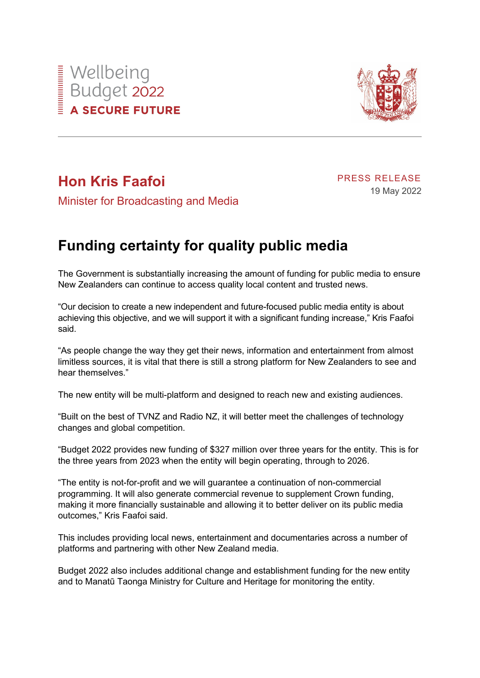



## **Hon Kris Faafoi**

PRESS RELEASE 19 May 2022

Minister for Broadcasting and Media

## **Funding certainty for quality public media**

The Government is substantially increasing the amount of funding for public media to ensure New Zealanders can continue to access quality local content and trusted news.

"Our decision to create a new independent and future-focused public media entity is about achieving this objective, and we will support it with a significant funding increase," Kris Faafoi said.

"As people change the way they get their news, information and entertainment from almost limitless sources, it is vital that there is still a strong platform for New Zealanders to see and hear themselves."

The new entity will be multi-platform and designed to reach new and existing audiences.

"Built on the best of TVNZ and Radio NZ, it will better meet the challenges of technology changes and global competition.

"Budget 2022 provides new funding of \$327 million over three years for the entity. This is for the three years from 2023 when the entity will begin operating, through to 2026.

"The entity is not-for-profit and we will guarantee a continuation of non-commercial programming. It will also generate commercial revenue to supplement Crown funding, making it more financially sustainable and allowing it to better deliver on its public media outcomes," Kris Faafoi said.

This includes providing local news, entertainment and documentaries across a number of platforms and partnering with other New Zealand media.

Budget 2022 also includes additional change and establishment funding for the new entity and to Manatū Taonga Ministry for Culture and Heritage for monitoring the entity.